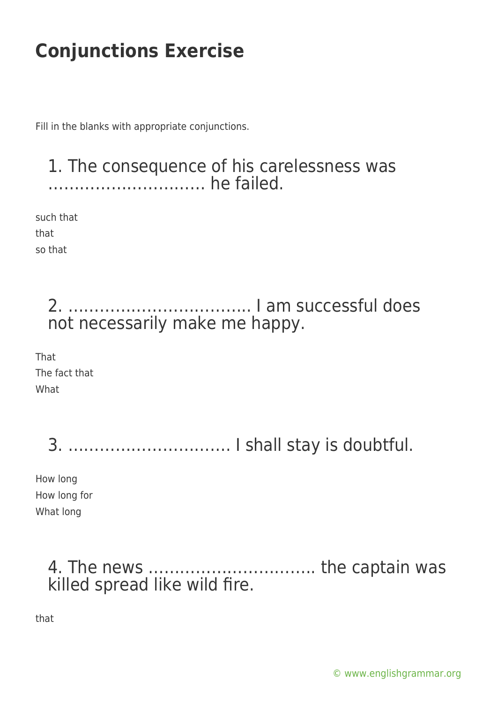Fill in the blanks with appropriate conjunctions.

#### 1. The consequence of his carelessness was ………………………… he failed.

such that that so that

> 2. …………………………….. I am successful does not necessarily make me happy.

That The fact that What

3. …………………………. I shall stay is doubtful.

How long How long for What long

### 4. The news ………………………….. the captain was killed spread like wild fire.

that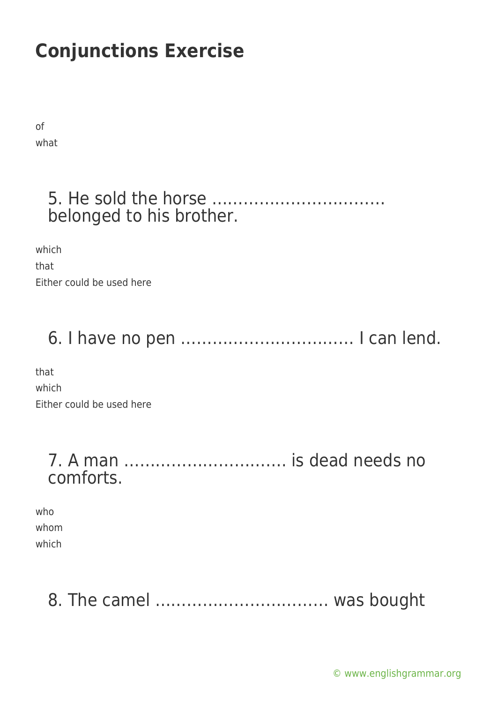of what

### 5. He sold the horse …………………………… belonged to his brother.

which that Either could be used here

# 6. I have no pen …………………………… I can lend.

that which Either could be used here

### 7. A man …………………………. is dead needs no comforts.

who whom which

### 8. The camel …………………………… was bought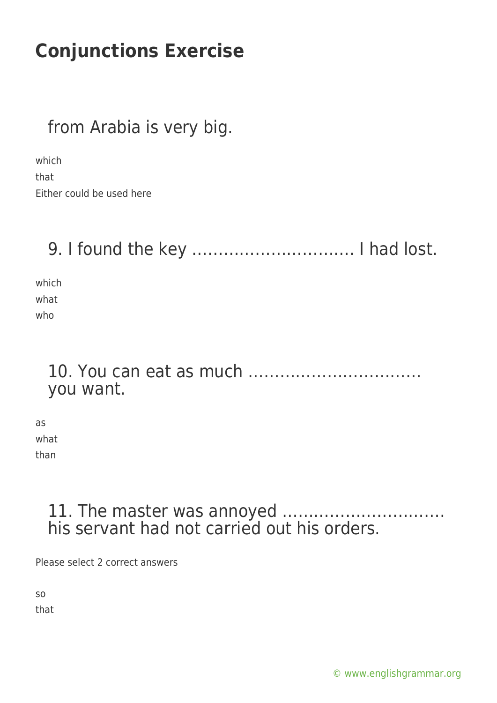### from Arabia is very big.

which that Either could be used here

### 9. I found the key …………………………. I had lost.

which what who

### 10. You can eat as much …………………………… you want.

as what than

#### 11. The master was annoyed …………………………. his servant had not carried out his orders.

Please select 2 correct answers

so that